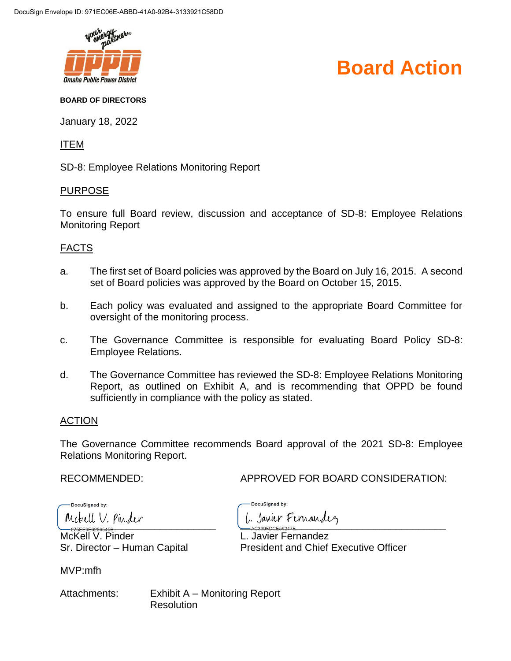

#### **Board Action**

#### **BOARD OF DIRECTORS**

January 18, 2022

ITEM

SD-8: Employee Relations Monitoring Report

#### PURPOSE

To ensure full Board review, discussion and acceptance of SD-8: Employee Relations Monitoring Report

#### FACTS

- a. The first set of Board policies was approved by the Board on July 16, 2015. A second set of Board policies was approved by the Board on October 15, 2015.
- b. Each policy was evaluated and assigned to the appropriate Board Committee for oversight of the monitoring process.
- c. The Governance Committee is responsible for evaluating Board Policy SD-8: Employee Relations.
- d. The Governance Committee has reviewed the SD-8: Employee Relations Monitoring Report, as outlined on Exhibit A, and is recommending that OPPD be found sufficiently in compliance with the policy as stated.

#### ACTION

The Governance Committee recommends Board approval of the 2021 SD-8: Employee Relations Monitoring Report.

RECOMMENDED: APPROVED FOR BOARD CONSIDERATION:

DocuSianed by:

McKell V. Pinder **L. Javier Fernandez** 

MVP:mfh

Attachments: Exhibit A – Monitoring Report **Resolution** 

DocuSianed by:  $\frac{1}{2}$ 

Sr. Director – Human Capital President and Chief Executive Officer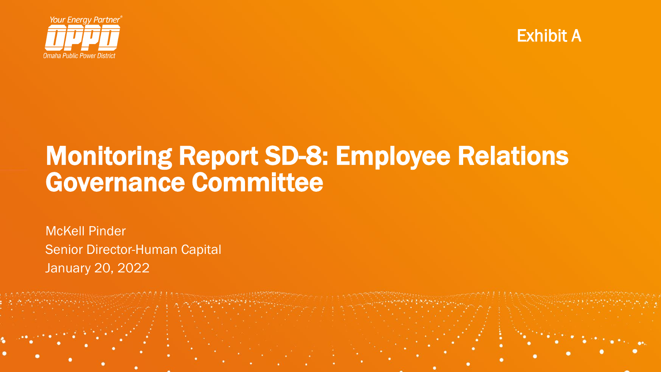



### Monitoring Report SD-8: Employee Relations Governance Committee

McKell Pinder Senior Director-Human Capital January 20, 2022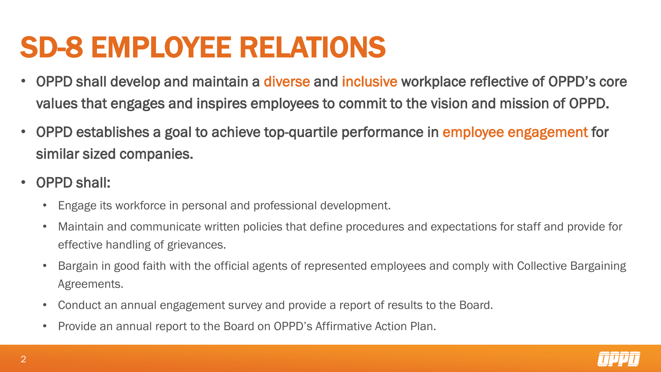# SD-8 EMPLOYEE RELATIONS

- OPPD shall develop and maintain a diverse and inclusive workplace reflective of OPPD's core values that engages and inspires employees to commit to the vision and mission of OPPD.
- OPPD establishes a goal to achieve top-quartile performance in employee engagement for similar sized companies.
- OPPD shall:
	- Engage its workforce in personal and professional development.
	- Maintain and communicate written policies that define procedures and expectations for staff and provide for effective handling of grievances.
	- Bargain in good faith with the official agents of represented employees and comply with Collective Bargaining Agreements.
	- Conduct an annual engagement survey and provide a report of results to the Board.
	- Provide an annual report to the Board on OPPD's Affirmative Action Plan.

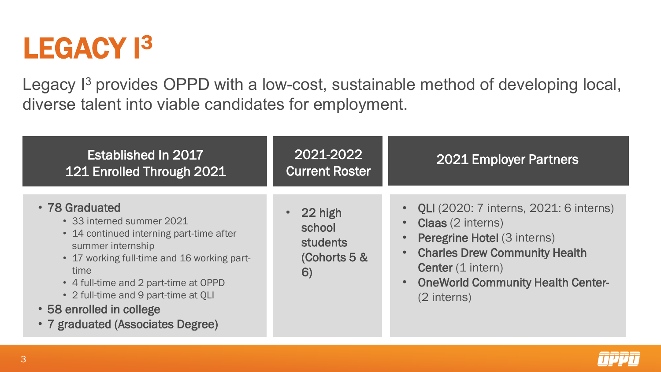# LEGACY<sup>13</sup>

Legacy I<sup>3</sup> provides OPPD with a low-cost, sustainable method of developing local, diverse talent into viable candidates for employment.

| Established In 2017<br>121 Enrolled Through 2021                                                                                                                                                                                                                                                                      | 2021-2022<br><b>Current Roster</b>                         | <b>2021 Employer Partners</b>                                                                                                                                                                                                                               |
|-----------------------------------------------------------------------------------------------------------------------------------------------------------------------------------------------------------------------------------------------------------------------------------------------------------------------|------------------------------------------------------------|-------------------------------------------------------------------------------------------------------------------------------------------------------------------------------------------------------------------------------------------------------------|
| • 78 Graduated<br>• 33 interned summer 2021<br>• 14 continued interning part-time after<br>summer internship<br>• 17 working full-time and 16 working part-<br>time<br>• 4 full-time and 2 part-time at OPPD<br>• 2 full-time and 9 part-time at QLI<br>• 58 enrolled in college<br>• 7 graduated (Associates Degree) | 22 high<br>school<br><b>students</b><br>(Cohorts 5 &<br>6) | <b>QLI</b> (2020: 7 interns, 2021: 6 interns)<br><b>Claas</b> (2 interns)<br><b>Peregrine Hotel (3 interns)</b><br><b>Charles Drew Community Health</b><br><b>Center</b> (1 intern)<br><b>OneWorld Community Health Center-</b><br>$\bullet$<br>(2 interns) |

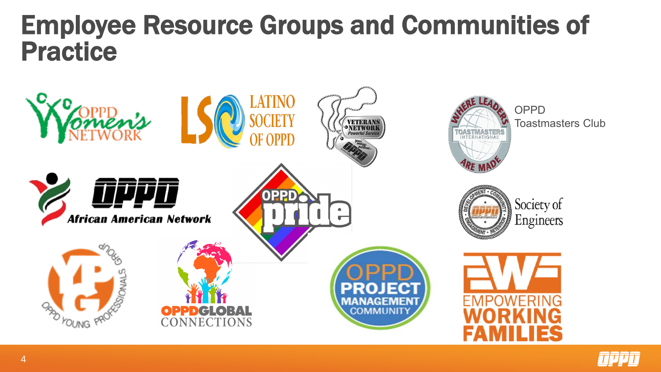## Employee Resource Groups and Communities of Practice



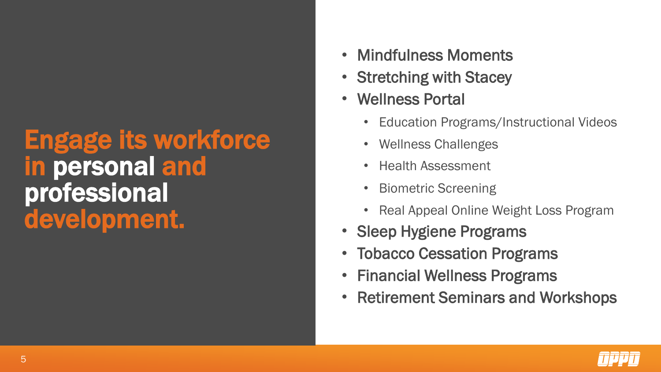### Engage its workforce in personal and professional development.

- Mindfulness Moments
- Stretching with Stacey
- Wellness Portal
	- Education Programs/Instructional Videos
	- Wellness Challenges
	- Health Assessment
	- Biometric Screening
	- Real Appeal Online Weight Loss Program
- Sleep Hygiene Programs
- Tobacco Cessation Programs
- Financial Wellness Programs
- Retirement Seminars and Workshops

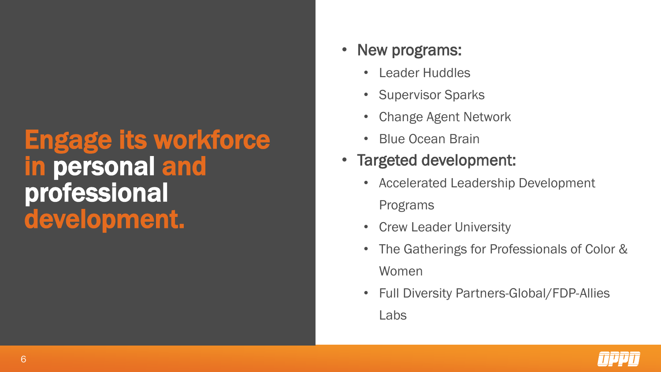## Engage its workforce in personal and professional development.

#### New programs:

- Leader Huddles
- Supervisor Sparks
- Change Agent Network
- Blue Ocean Brain
- Targeted development:
	- Accelerated Leadership Development Programs
	- Crew Leader University
	- The Gatherings for Professionals of Color & Women
	- Full Diversity Partners-Global/FDP-Allies Labs

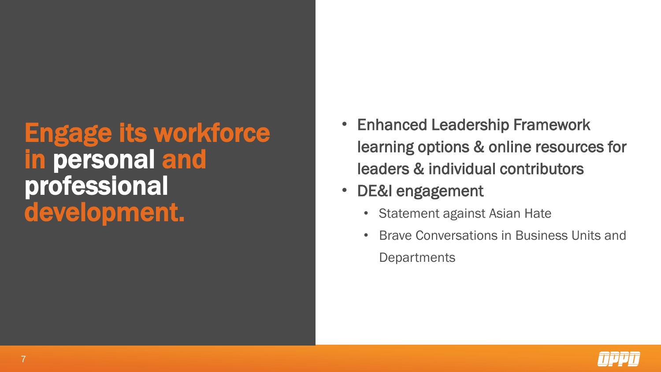## Engage its workforce in personal and professional development.

- Enhanced Leadership Framework learning options & online resources for leaders & individual contributors
- DE&I engagement
	- Statement against Asian Hate
	- Brave Conversations in Business Units and **Departments**

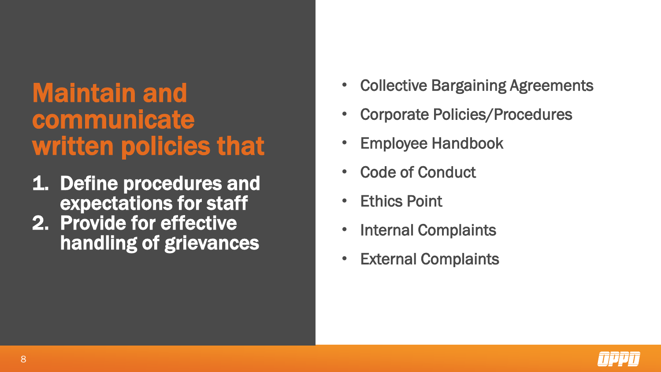## Maintain and communicate written policies that

- 1. Define procedures and expectations for staff
- 2. Provide for effective handling of grievances
- Collective Bargaining Agreements
- Corporate Policies/Procedures
- Employee Handbook
- Code of Conduct
- **Ethics Point**
- Internal Complaints
- **External Complaints**

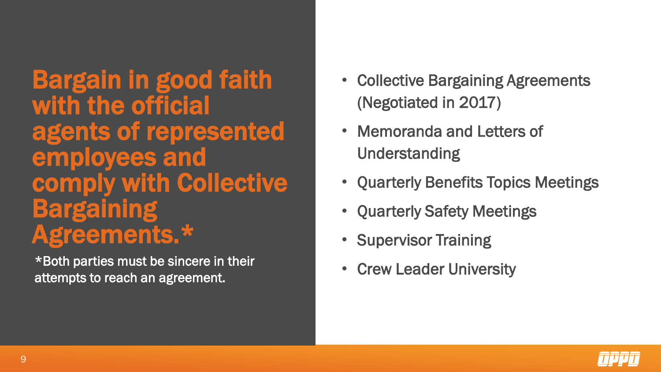Bargain in good faith with the official agents of represented employees and comply with Collective Bargaining Agreements.\*

\*Both parties must be sincere in their attempts to reach an agreement.

- Collective Bargaining Agreements (Negotiated in 2017)
- Memoranda and Letters of Understanding
- Quarterly Benefits Topics Meetings
- Quarterly Safety Meetings
- Supervisor Training
- Crew Leader University

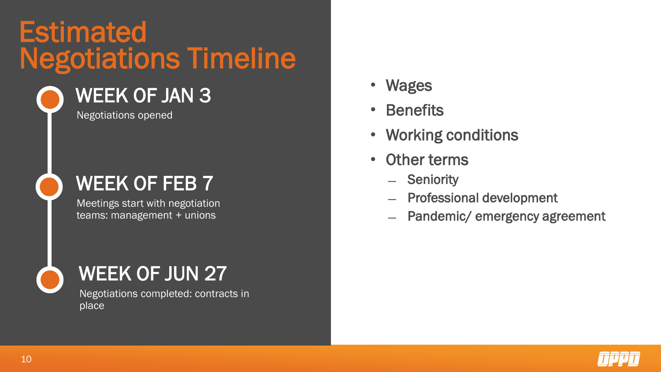# Negotiations Timeline **Estimated**

### WEEK OF JAN 3

Negotiations opened

#### WEEK OF FEB 7

Meetings start with negotiation teams: management + unions

#### WEEK OF JUN 27

Negotiations completed: contracts in place

- Wages
- **Benefits**
- Working conditions
- **Other terms** 
	- ̶ Seniority
	- ̶ Professional development
	- Pandemic/ emergency agreement

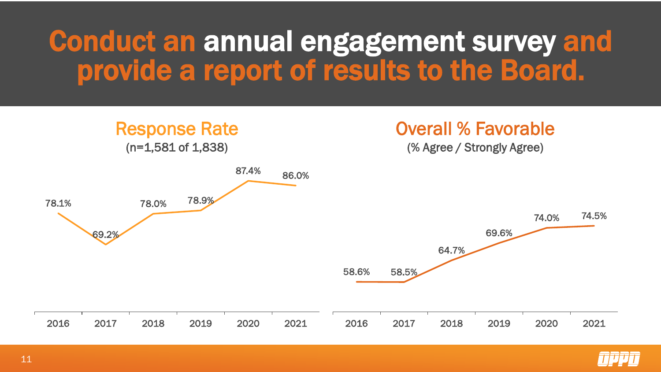# Conduct an annual engagement survey and provide a report of results to the Board.



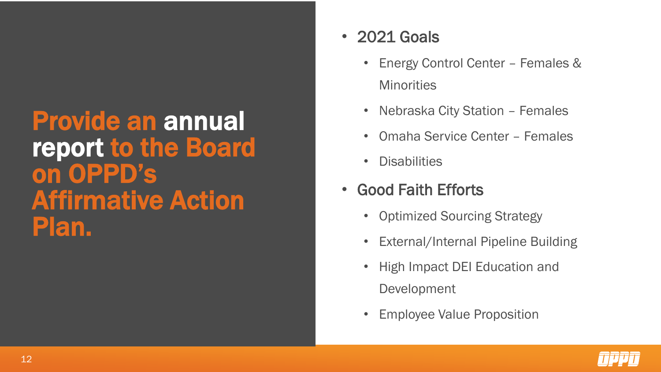### Provide an annual report to the Board on OPPD's Affirmative Action Plan.

#### • 2021 Goals

- Energy Control Center Females & **Minorities**
- Nebraska City Station Females
- Omaha Service Center Females
- Disabilities
- Good Faith Efforts
	- Optimized Sourcing Strategy
	- External/Internal Pipeline Building
	- High Impact DEI Education and Development
	- Employee Value Proposition

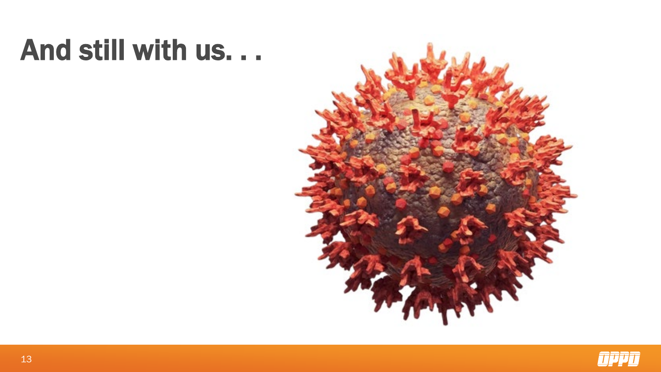# And still with us. . .



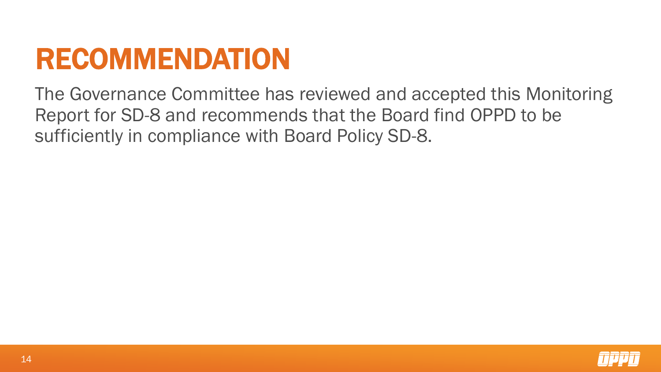# RECOMMENDATION

The Governance Committee has reviewed and accepted this Monitoring Report for SD-8 and recommends that the Board find OPPD to be sufficiently in compliance with Board Policy SD-8.